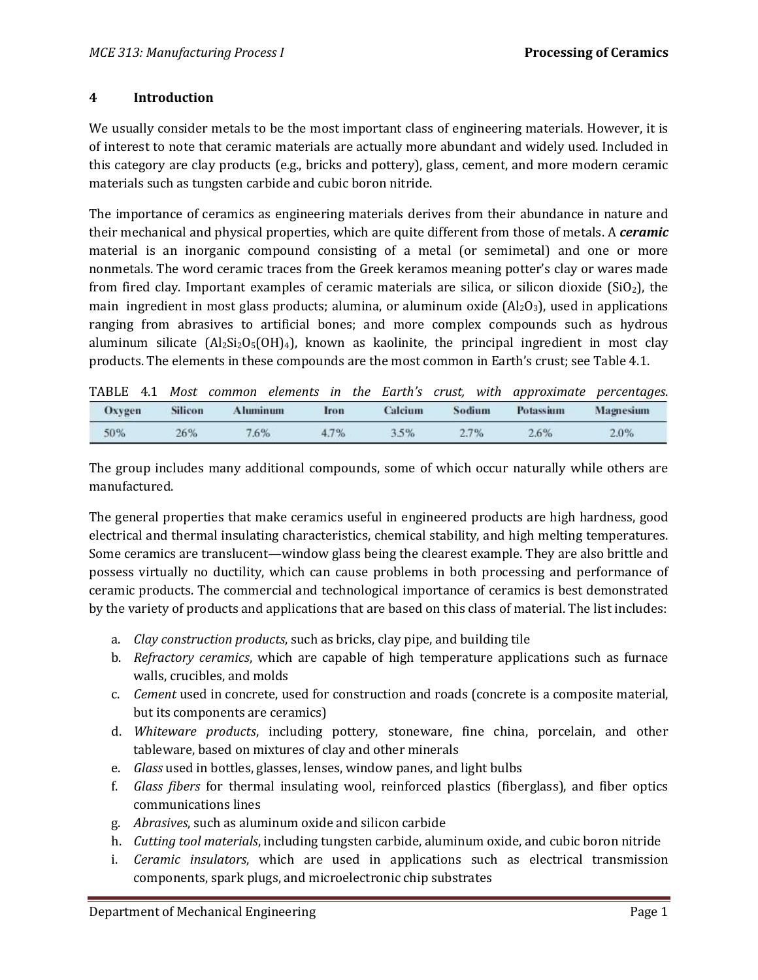#### **4 Introduction**

We usually consider metals to be the most important class of engineering materials. However, it is of interest to note that ceramic materials are actually more abundant and widely used. Included in this category are clay products (e.g., bricks and pottery), glass, cement, and more modern ceramic materials such as tungsten carbide and cubic boron nitride.

The importance of ceramics as engineering materials derives from their abundance in nature and their mechanical and physical properties, which are quite different from those of metals. A *ceramic* material is an inorganic compound consisting of a metal (or semimetal) and one or more nonmetals. The word ceramic traces from the Greek keramos meaning potter's clay or wares made from fired clay. Important examples of ceramic materials are silica, or silicon dioxide  $(SiO<sub>2</sub>)$ , the main ingredient in most glass products; alumina, or aluminum oxide  $(Al_2O_3)$ , used in applications ranging from abrasives to artificial bones; and more complex compounds such as hydrous aluminum silicate  $(A_2S_i_2O_5(OH)_4)$ , known as kaolinite, the principal ingredient in most clay products. The elements in these compounds are the most common in Earth's crust; see Table 4.1.

TABLE 4.1 *Most common elements in the Earth's crust, with approximate percentages*.

| Oxygen          | <b>Silicon</b> | Muminum                                   | Iron                                   | Calcium                                      | Sodium           | Potassium                         | <b>Magnesium</b> |
|-----------------|----------------|-------------------------------------------|----------------------------------------|----------------------------------------------|------------------|-----------------------------------|------------------|
| 50%<br>________ | 26%<br>.       | 7.6%<br>the control of the control of the | 1.7%<br>the company's the state of the | 3.5%<br>المعالمة<br><b><i>CONTRACTOR</i></b> | 2.7%<br>-------- | 2.6%<br><b><i>CONTRACTORS</i></b> | 2.0%             |

The group includes many additional compounds, some of which occur naturally while others are manufactured.

The general properties that make ceramics useful in engineered products are high hardness, good electrical and thermal insulating characteristics, chemical stability, and high melting temperatures. Some ceramics are translucent—window glass being the clearest example. They are also brittle and possess virtually no ductility, which can cause problems in both processing and performance of ceramic products. The commercial and technological importance of ceramics is best demonstrated by the variety of products and applications that are based on this class of material. The list includes:

- a. *Clay construction products*, such as bricks, clay pipe, and building tile
- b. *Refractory ceramics*, which are capable of high temperature applications such as furnace walls, crucibles, and molds
- c. *Cement* used in concrete, used for construction and roads (concrete is a composite material, but its components are ceramics)
- d. *Whiteware products*, including pottery, stoneware, fine china, porcelain, and other tableware, based on mixtures of clay and other minerals
- e. *Glass* used in bottles, glasses, lenses, window panes, and light bulbs
- f. *Glass fibers* for thermal insulating wool, reinforced plastics (fiberglass), and fiber optics communications lines
- g. *Abrasives*, such as aluminum oxide and silicon carbide
- h. *Cutting tool materials*, including tungsten carbide, aluminum oxide, and cubic boron nitride
- i. *Ceramic insulators*, which are used in applications such as electrical transmission components, spark plugs, and microelectronic chip substrates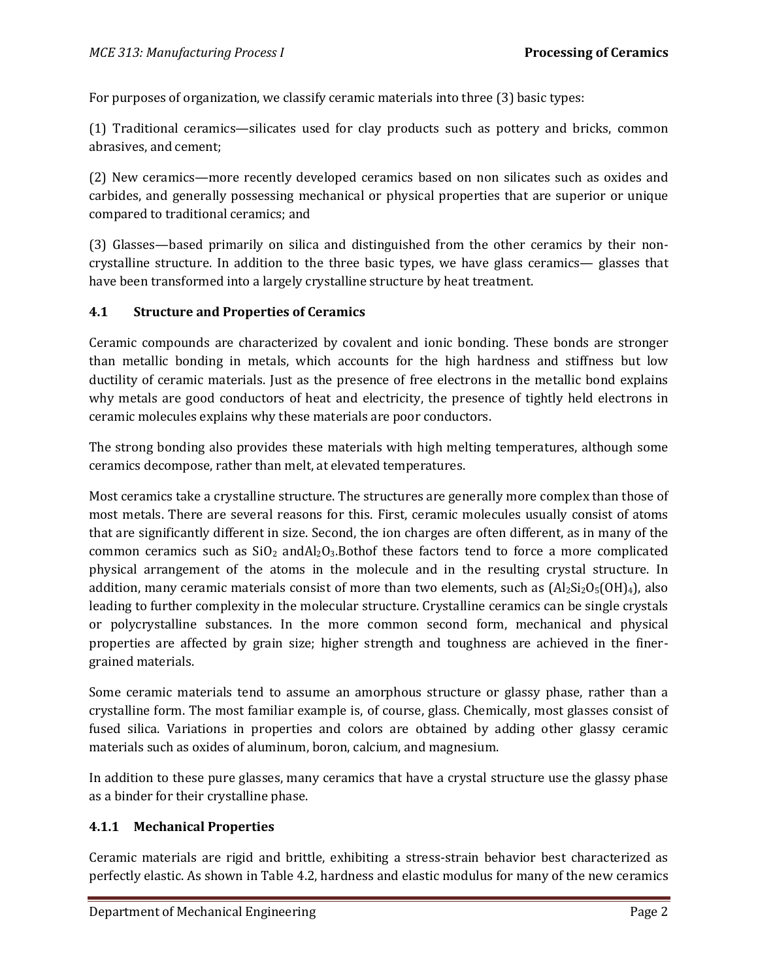For purposes of organization, we classify ceramic materials into three (3) basic types:

(1) Traditional ceramics—silicates used for clay products such as pottery and bricks, common abrasives, and cement;

(2) New ceramics—more recently developed ceramics based on non silicates such as oxides and carbides, and generally possessing mechanical or physical properties that are superior or unique compared to traditional ceramics; and

(3) Glasses—based primarily on silica and distinguished from the other ceramics by their noncrystalline structure. In addition to the three basic types, we have glass ceramics— glasses that have been transformed into a largely crystalline structure by heat treatment.

## **4.1 Structure and Properties of Ceramics**

Ceramic compounds are characterized by covalent and ionic bonding. These bonds are stronger than metallic bonding in metals, which accounts for the high hardness and stiffness but low ductility of ceramic materials. Just as the presence of free electrons in the metallic bond explains why metals are good conductors of heat and electricity, the presence of tightly held electrons in ceramic molecules explains why these materials are poor conductors.

The strong bonding also provides these materials with high melting temperatures, although some ceramics decompose, rather than melt, at elevated temperatures.

Most ceramics take a crystalline structure. The structures are generally more complex than those of most metals. There are several reasons for this. First, ceramic molecules usually consist of atoms that are significantly different in size. Second, the ion charges are often different, as in many of the common ceramics such as  $SiO_2$  and $Al_2O_3$ .Bothof these factors tend to force a more complicated physical arrangement of the atoms in the molecule and in the resulting crystal structure. In addition, many ceramic materials consist of more than two elements, such as  $(Al_2Si_2O_5(OH)_4)$ , also leading to further complexity in the molecular structure. Crystalline ceramics can be single crystals or polycrystalline substances. In the more common second form, mechanical and physical properties are affected by grain size; higher strength and toughness are achieved in the finergrained materials.

Some ceramic materials tend to assume an amorphous structure or glassy phase, rather than a crystalline form. The most familiar example is, of course, glass. Chemically, most glasses consist of fused silica. Variations in properties and colors are obtained by adding other glassy ceramic materials such as oxides of aluminum, boron, calcium, and magnesium.

In addition to these pure glasses, many ceramics that have a crystal structure use the glassy phase as a binder for their crystalline phase.

## **4.1.1 Mechanical Properties**

Ceramic materials are rigid and brittle, exhibiting a stress-strain behavior best characterized as perfectly elastic. As shown in Table 4.2, hardness and elastic modulus for many of the new ceramics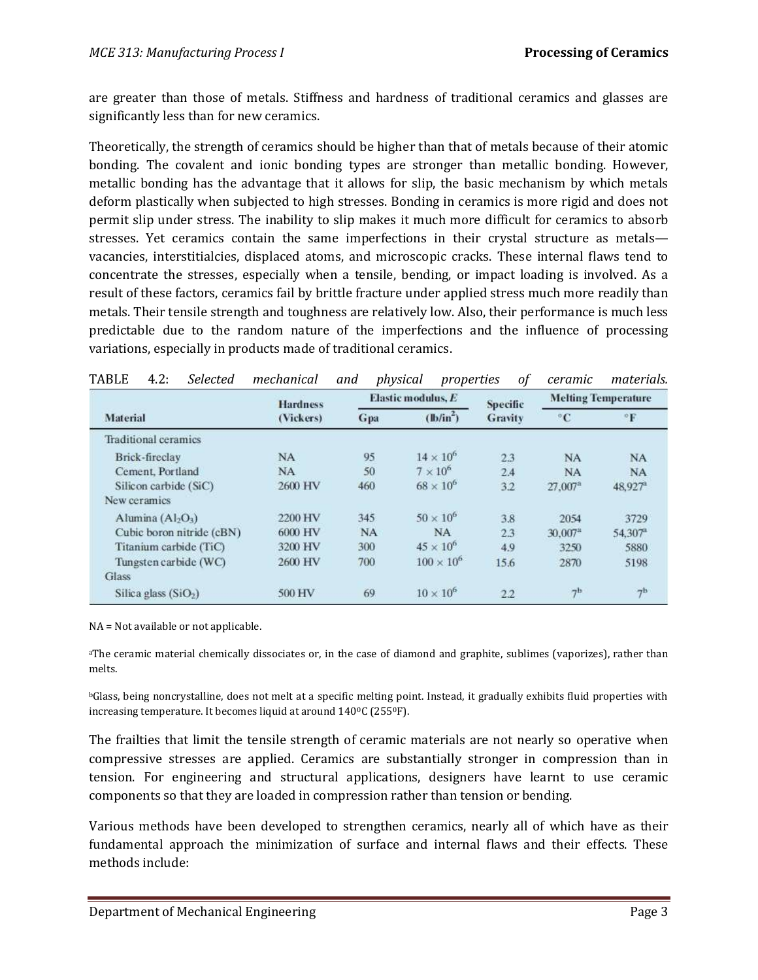are greater than those of metals. Stiffness and hardness of traditional ceramics and glasses are significantly less than for new ceramics.

Theoretically, the strength of ceramics should be higher than that of metals because of their atomic bonding. The covalent and ionic bonding types are stronger than metallic bonding. However, metallic bonding has the advantage that it allows for slip, the basic mechanism by which metals deform plastically when subjected to high stresses. Bonding in ceramics is more rigid and does not permit slip under stress. The inability to slip makes it much more difficult for ceramics to absorb stresses. Yet ceramics contain the same imperfections in their crystal structure as metals vacancies, interstitialcies, displaced atoms, and microscopic cracks. These internal flaws tend to concentrate the stresses, especially when a tensile, bending, or impact loading is involved. As a result of these factors, ceramics fail by brittle fracture under applied stress much more readily than metals. Their tensile strength and toughness are relatively low. Also, their performance is much less predictable due to the random nature of the imperfections and the influence of processing variations, especially in products made of traditional ceramics.

|                           | <b>Hardness</b> | Elastic modulus, E |                     | Specific | <b>Melting Temperature</b> |                           |
|---------------------------|-----------------|--------------------|---------------------|----------|----------------------------|---------------------------|
| <b>Material</b>           | (Vickers)       | Gpa                | $(h/in^2)$          | Gravity  | $^{\circ}C$                | $\mathbf{F}$              |
| Traditional ceramics      |                 |                    |                     |          |                            |                           |
| Brick-fireclay            | <b>NA</b>       | 95                 | $14 \times 10^{6}$  | 23       | <b>NA</b>                  | <b>NA</b>                 |
| Cement, Portland          | <b>NA</b>       | 50                 | $7 \times 10^6$     | 2.4      | <b>NA</b>                  | <b>NA</b>                 |
| Silicon carbide (SiC)     | 2600 HV         | 460                | $68 \times 10^6$    | 3.2      | 27.007 <sup>3</sup>        | 48,927 <sup>a</sup>       |
| New ceramics              |                 |                    |                     |          |                            |                           |
| Alumina $(AI_2O_3)$       | 2200 HV         | 345                | $50 \times 10^{6}$  | 3.8      | 2054                       | <b>CONTRACTOR</b><br>3729 |
| Cubic boron nitride (cBN) | 6000 HV         | <b>NA</b>          | <b>NA</b>           | 2.3      | $30.007$ <sup>*</sup>      | 54,307 <sup>a</sup>       |
| Titanium carbide (TiC)    | 3200 HV         | 300                | $45 \times 10^{6}$  | 4.9      | 3250                       | 5880                      |
| Tungsten carbide (WC)     | 2600 HV         | 700                | $100 \times 10^{6}$ | 15.6     | 2870                       | 5198                      |
| <b>Glass</b>              |                 |                    |                     |          |                            |                           |
| Silica glass $(SiO2)$     | 500 HV          | 69                 | $10 \times 10^{6}$  | 2.2      | $\neg b$                   | $\neg b$                  |

TABLE 4.2: *Selected mechanical and physical properties of ceramic materials.*

NA = Not available or not applicable.

<sup>a</sup>The ceramic material chemically dissociates or, in the case of diamond and graphite, sublimes (vaporizes), rather than melts.

<sup>b</sup>Glass, being noncrystalline, does not melt at a specific melting point. Instead, it gradually exhibits fluid properties with increasing temperature. It becomes liquid at around 1400C (2550F).

The frailties that limit the tensile strength of ceramic materials are not nearly so operative when compressive stresses are applied. Ceramics are substantially stronger in compression than in tension. For engineering and structural applications, designers have learnt to use ceramic components so that they are loaded in compression rather than tension or bending.

Various methods have been developed to strengthen ceramics, nearly all of which have as their fundamental approach the minimization of surface and internal flaws and their effects. These methods include: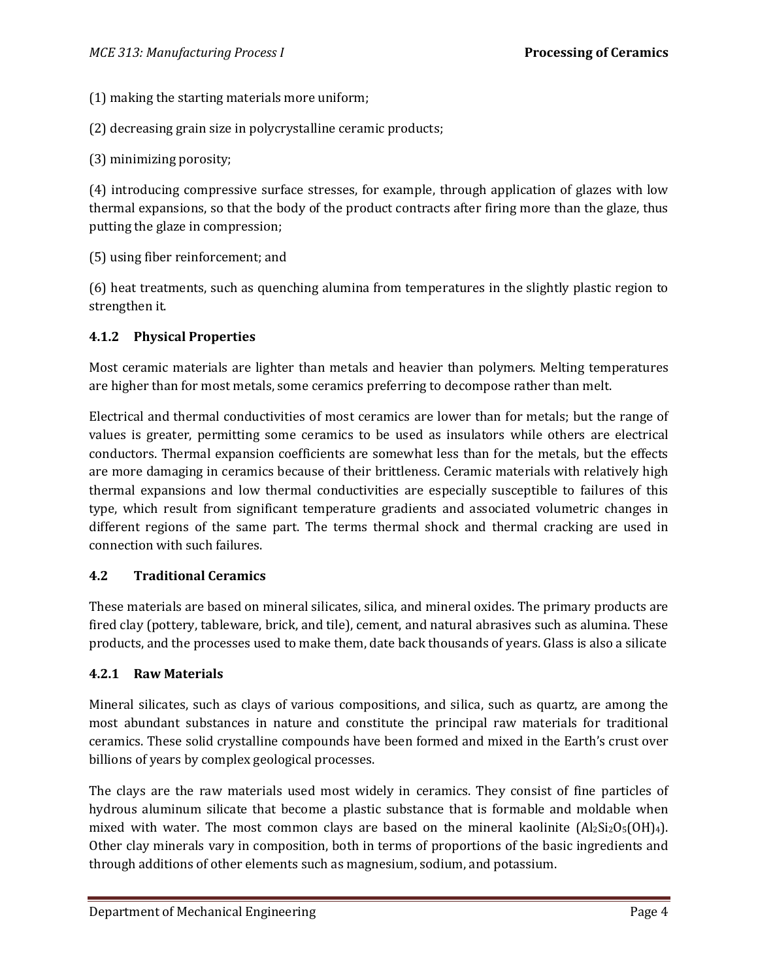(1) making the starting materials more uniform;

(2) decreasing grain size in polycrystalline ceramic products;

(3) minimizing porosity;

(4) introducing compressive surface stresses, for example, through application of glazes with low thermal expansions, so that the body of the product contracts after firing more than the glaze, thus putting the glaze in compression;

(5) using fiber reinforcement; and

(6) heat treatments, such as quenching alumina from temperatures in the slightly plastic region to strengthen it.

## **4.1.2 Physical Properties**

Most ceramic materials are lighter than metals and heavier than polymers. Melting temperatures are higher than for most metals, some ceramics preferring to decompose rather than melt.

Electrical and thermal conductivities of most ceramics are lower than for metals; but the range of values is greater, permitting some ceramics to be used as insulators while others are electrical conductors. Thermal expansion coefficients are somewhat less than for the metals, but the effects are more damaging in ceramics because of their brittleness. Ceramic materials with relatively high thermal expansions and low thermal conductivities are especially susceptible to failures of this type, which result from significant temperature gradients and associated volumetric changes in different regions of the same part. The terms thermal shock and thermal cracking are used in connection with such failures.

### **4.2 Traditional Ceramics**

These materials are based on mineral silicates, silica, and mineral oxides. The primary products are fired clay (pottery, tableware, brick, and tile), cement, and natural abrasives such as alumina. These products, and the processes used to make them, date back thousands of years. Glass is also a silicate

### **4.2.1 Raw Materials**

Mineral silicates, such as clays of various compositions, and silica, such as quartz, are among the most abundant substances in nature and constitute the principal raw materials for traditional ceramics. These solid crystalline compounds have been formed and mixed in the Earth's crust over billions of years by complex geological processes.

The clays are the raw materials used most widely in ceramics. They consist of fine particles of hydrous aluminum silicate that become a plastic substance that is formable and moldable when mixed with water. The most common clays are based on the mineral kaolinite  $(Al_2Si_2O_5(OH)_4)$ . Other clay minerals vary in composition, both in terms of proportions of the basic ingredients and through additions of other elements such as magnesium, sodium, and potassium.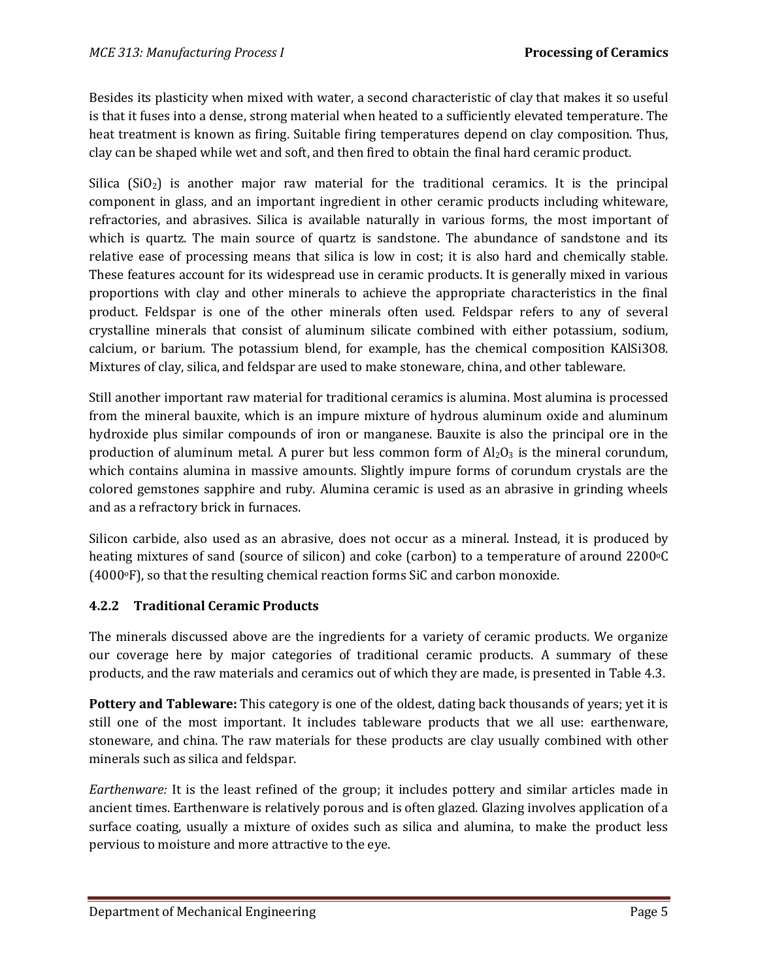Besides its plasticity when mixed with water, a second characteristic of clay that makes it so useful is that it fuses into a dense, strong material when heated to a sufficiently elevated temperature. The heat treatment is known as firing. Suitable firing temperatures depend on clay composition. Thus, clay can be shaped while wet and soft, and then fired to obtain the final hard ceramic product.

Silica  $(SiO<sub>2</sub>)$  is another major raw material for the traditional ceramics. It is the principal component in glass, and an important ingredient in other ceramic products including whiteware, refractories, and abrasives. Silica is available naturally in various forms, the most important of which is quartz. The main source of quartz is sandstone. The abundance of sandstone and its relative ease of processing means that silica is low in cost; it is also hard and chemically stable. These features account for its widespread use in ceramic products. It is generally mixed in various proportions with clay and other minerals to achieve the appropriate characteristics in the final product. Feldspar is one of the other minerals often used. Feldspar refers to any of several crystalline minerals that consist of aluminum silicate combined with either potassium, sodium, calcium, or barium. The potassium blend, for example, has the chemical composition KAlSi3O8. Mixtures of clay, silica, and feldspar are used to make stoneware, china, and other tableware.

Still another important raw material for traditional ceramics is alumina. Most alumina is processed from the mineral bauxite, which is an impure mixture of hydrous aluminum oxide and aluminum hydroxide plus similar compounds of iron or manganese. Bauxite is also the principal ore in the production of aluminum metal. A purer but less common form of  $Al_2O_3$  is the mineral corundum, which contains alumina in massive amounts. Slightly impure forms of corundum crystals are the colored gemstones sapphire and ruby. Alumina ceramic is used as an abrasive in grinding wheels and as a refractory brick in furnaces.

Silicon carbide, also used as an abrasive, does not occur as a mineral. Instead, it is produced by heating mixtures of sand (source of silicon) and coke (carbon) to a temperature of around 2200 °C  $(4000\text{°F})$ , so that the resulting chemical reaction forms SiC and carbon monoxide.

# **4.2.2 Traditional Ceramic Products**

The minerals discussed above are the ingredients for a variety of ceramic products. We organize our coverage here by major categories of traditional ceramic products. A summary of these products, and the raw materials and ceramics out of which they are made, is presented in Table 4.3.

**Pottery and Tableware:** This category is one of the oldest, dating back thousands of years; yet it is still one of the most important. It includes tableware products that we all use: earthenware, stoneware, and china. The raw materials for these products are clay usually combined with other minerals such as silica and feldspar.

*Earthenware:* It is the least refined of the group; it includes pottery and similar articles made in ancient times. Earthenware is relatively porous and is often glazed. Glazing involves application of a surface coating, usually a mixture of oxides such as silica and alumina, to make the product less pervious to moisture and more attractive to the eye.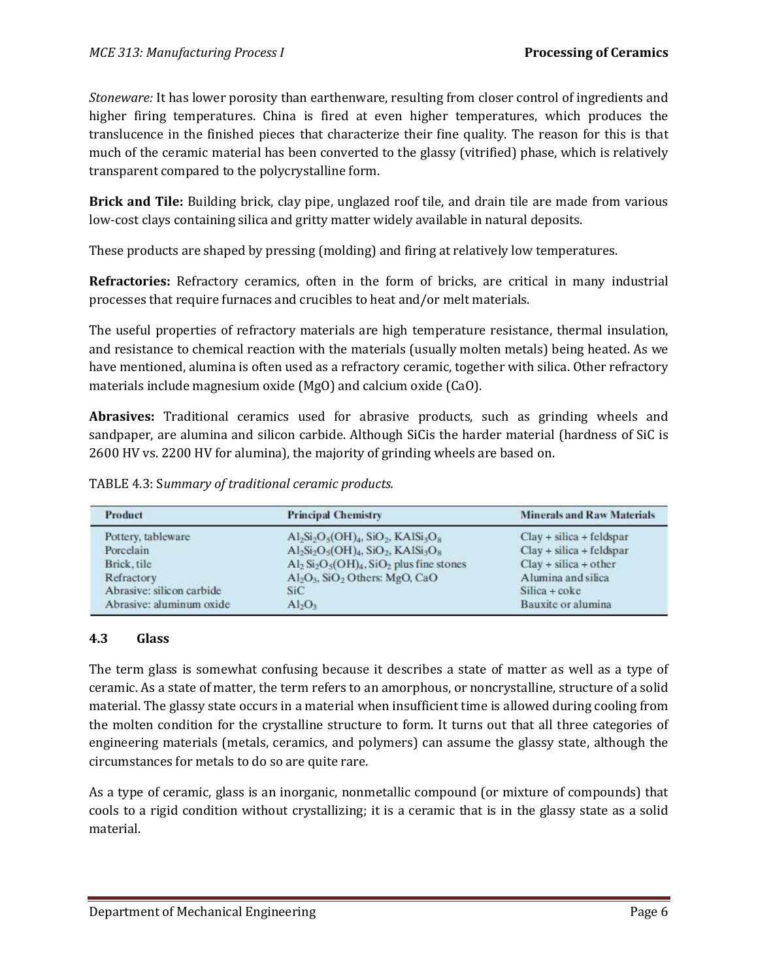*Stoneware:* It has lower porosity than earthenware, resulting from closer control of ingredients and higher firing temperatures. China is fired at even higher temperatures, which produces the translucence in the finished pieces that characterize their fine quality. The reason for this is that much of the ceramic material has been converted to the glassy (vitrified) phase, which is relatively transparent compared to the polycrystalline form.

**Brick and Tile:** Building brick, clay pipe, unglazed roof tile, and drain tile are made from various low-cost clays containing silica and gritty matter widely available in natural deposits.

These products are shaped by pressing (molding) and firing at relatively low temperatures.

**Refractories:** Refractory ceramics, often in the form of bricks, are critical in many industrial processes that require furnaces and crucibles to heat and/or melt materials.

The useful properties of refractory materials are high temperature resistance, thermal insulation, and resistance to chemical reaction with the materials (usually molten metals) being heated. As we have mentioned, alumina is often used as a refractory ceramic, together with silica. Other refractory materials include magnesium oxide (MgO) and calcium oxide (CaO).

**Abrasives:** Traditional ceramics used for abrasive products, such as grinding wheels and sandpaper, are alumina and silicon carbide. Although SiCis the harder material (hardness of SiC is 2600 HV vs. 2200 HV for alumina), the majority of grinding wheels are based on.

| Product                   | <b>Principal Chemistry</b>                                                                          | <b>Minerals and Raw Materials</b> |  |  |
|---------------------------|-----------------------------------------------------------------------------------------------------|-----------------------------------|--|--|
| Pottery, tableware        | $\mathrm{Al}_2\mathrm{Si}_2\mathrm{O}_5(OH)_4$ , $\mathrm{SiO}_2$ , KAI $\mathrm{Si}_3\mathrm{O}_8$ | $Clay + silica + feldspar$        |  |  |
| Porcelain                 | $Al_2Si_2O_5(OH)_4$ , $SiO_2$ , KAl $Si_3O_8$                                                       | $Clay + silica + feldspar$        |  |  |
| Brick, tile               | $Al_2$ Si <sub>2</sub> O <sub>5</sub> (OH) <sub>4</sub> , SiO <sub>2</sub> plus fine stones         | $Clay + silica + other$           |  |  |
| Refractory                | $Al_2O_3$ , SiO <sub>2</sub> Others: MgO, CaO                                                       | Alumina and silica                |  |  |
| Abrasive: silicon carbide | SiC.                                                                                                | $Silica + coke$                   |  |  |
| Abrasive: aluminum oxide  | $Al_2O_3$                                                                                           | Bauxite or alumina                |  |  |

TABLE 4.3: S*ummary of traditional ceramic products.*

## **4.3 Glass**

The term glass is somewhat confusing because it describes a state of matter as well as a type of ceramic. As a state of matter, the term refers to an amorphous, or noncrystalline, structure of a solid material. The glassy state occurs in a material when insufficient time is allowed during cooling from the molten condition for the crystalline structure to form. It turns out that all three categories of engineering materials (metals, ceramics, and polymers) can assume the glassy state, although the circumstances for metals to do so are quite rare.

As a type of ceramic, glass is an inorganic, nonmetallic compound (or mixture of compounds) that cools to a rigid condition without crystallizing; it is a ceramic that is in the glassy state as a solid material.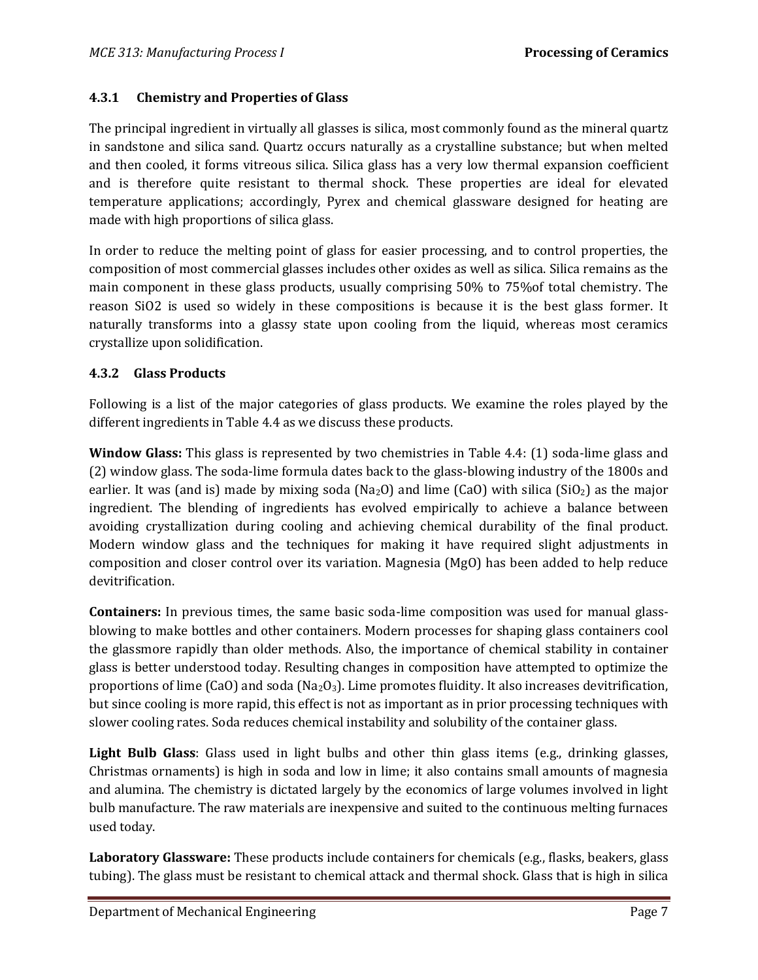## **4.3.1 Chemistry and Properties of Glass**

The principal ingredient in virtually all glasses is silica, most commonly found as the mineral quartz in sandstone and silica sand. Quartz occurs naturally as a crystalline substance; but when melted and then cooled, it forms vitreous silica. Silica glass has a very low thermal expansion coefficient and is therefore quite resistant to thermal shock. These properties are ideal for elevated temperature applications; accordingly, Pyrex and chemical glassware designed for heating are made with high proportions of silica glass.

In order to reduce the melting point of glass for easier processing, and to control properties, the composition of most commercial glasses includes other oxides as well as silica. Silica remains as the main component in these glass products, usually comprising 50% to 75%of total chemistry. The reason SiO2 is used so widely in these compositions is because it is the best glass former. It naturally transforms into a glassy state upon cooling from the liquid, whereas most ceramics crystallize upon solidification.

## **4.3.2 Glass Products**

Following is a list of the major categories of glass products. We examine the roles played by the different ingredients in Table 4.4 as we discuss these products.

**Window Glass:** This glass is represented by two chemistries in Table 4.4: (1) soda-lime glass and (2) window glass. The soda-lime formula dates back to the glass-blowing industry of the 1800s and earlier. It was (and is) made by mixing soda (Na<sub>2</sub>O) and lime (CaO) with silica (SiO<sub>2</sub>) as the major ingredient. The blending of ingredients has evolved empirically to achieve a balance between avoiding crystallization during cooling and achieving chemical durability of the final product. Modern window glass and the techniques for making it have required slight adjustments in composition and closer control over its variation. Magnesia (MgO) has been added to help reduce devitrification.

**Containers:** In previous times, the same basic soda-lime composition was used for manual glassblowing to make bottles and other containers. Modern processes for shaping glass containers cool the glassmore rapidly than older methods. Also, the importance of chemical stability in container glass is better understood today. Resulting changes in composition have attempted to optimize the proportions of lime (CaO) and soda (Na<sub>2</sub>O<sub>3</sub>). Lime promotes fluidity. It also increases devitrification, but since cooling is more rapid, this effect is not as important as in prior processing techniques with slower cooling rates. Soda reduces chemical instability and solubility of the container glass.

**Light Bulb Glass**: Glass used in light bulbs and other thin glass items (e.g., drinking glasses, Christmas ornaments) is high in soda and low in lime; it also contains small amounts of magnesia and alumina. The chemistry is dictated largely by the economics of large volumes involved in light bulb manufacture. The raw materials are inexpensive and suited to the continuous melting furnaces used today.

**Laboratory Glassware:** These products include containers for chemicals (e.g., flasks, beakers, glass tubing). The glass must be resistant to chemical attack and thermal shock. Glass that is high in silica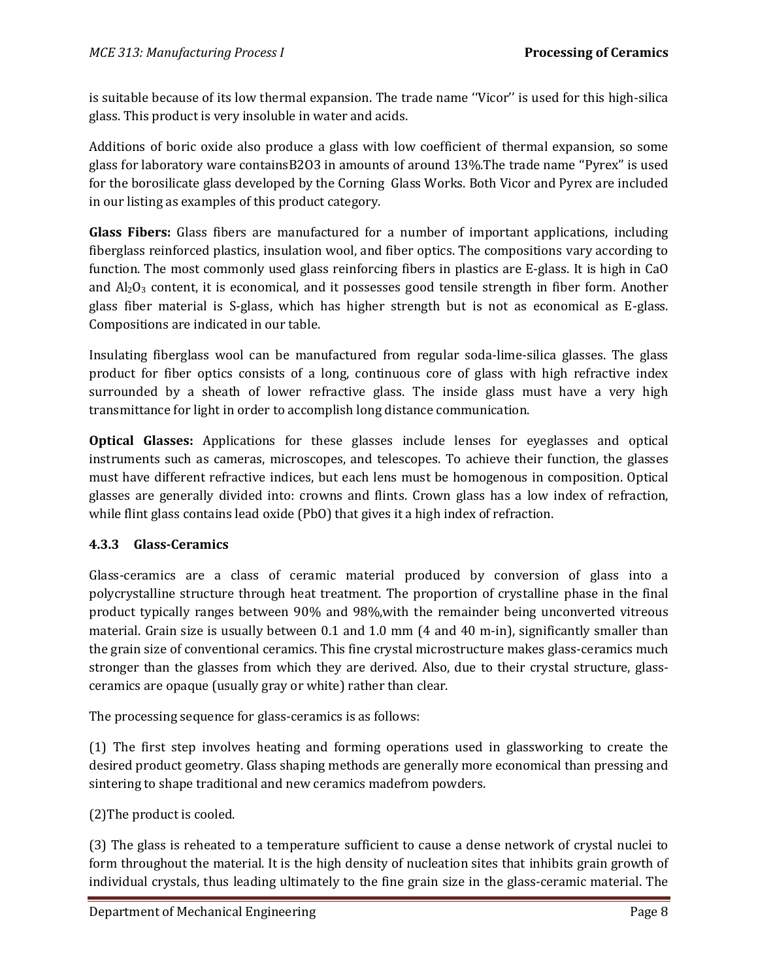is suitable because of its low thermal expansion. The trade name ''Vicor'' is used for this high-silica glass. This product is very insoluble in water and acids.

Additions of boric oxide also produce a glass with low coefficient of thermal expansion, so some glass for laboratory ware containsB2O3 in amounts of around 13%.The trade name ''Pyrex'' is used for the borosilicate glass developed by the Corning Glass Works. Both Vicor and Pyrex are included in our listing as examples of this product category.

**Glass Fibers:** Glass fibers are manufactured for a number of important applications, including fiberglass reinforced plastics, insulation wool, and fiber optics. The compositions vary according to function. The most commonly used glass reinforcing fibers in plastics are E-glass. It is high in CaO and  $Al_2O_3$  content, it is economical, and it possesses good tensile strength in fiber form. Another glass fiber material is S-glass, which has higher strength but is not as economical as E-glass. Compositions are indicated in our table.

Insulating fiberglass wool can be manufactured from regular soda-lime-silica glasses. The glass product for fiber optics consists of a long, continuous core of glass with high refractive index surrounded by a sheath of lower refractive glass. The inside glass must have a very high transmittance for light in order to accomplish long distance communication.

**Optical Glasses:** Applications for these glasses include lenses for eyeglasses and optical instruments such as cameras, microscopes, and telescopes. To achieve their function, the glasses must have different refractive indices, but each lens must be homogenous in composition. Optical glasses are generally divided into: crowns and flints. Crown glass has a low index of refraction, while flint glass contains lead oxide (PbO) that gives it a high index of refraction.

# **4.3.3 Glass-Ceramics**

Glass-ceramics are a class of ceramic material produced by conversion of glass into a polycrystalline structure through heat treatment. The proportion of crystalline phase in the final product typically ranges between 90% and 98%,with the remainder being unconverted vitreous material. Grain size is usually between 0.1 and 1.0 mm (4 and 40 m-in), significantly smaller than the grain size of conventional ceramics. This fine crystal microstructure makes glass-ceramics much stronger than the glasses from which they are derived. Also, due to their crystal structure, glassceramics are opaque (usually gray or white) rather than clear.

The processing sequence for glass-ceramics is as follows:

(1) The first step involves heating and forming operations used in glassworking to create the desired product geometry. Glass shaping methods are generally more economical than pressing and sintering to shape traditional and new ceramics madefrom powders.

(2)The product is cooled.

(3) The glass is reheated to a temperature sufficient to cause a dense network of crystal nuclei to form throughout the material. It is the high density of nucleation sites that inhibits grain growth of individual crystals, thus leading ultimately to the fine grain size in the glass-ceramic material. The